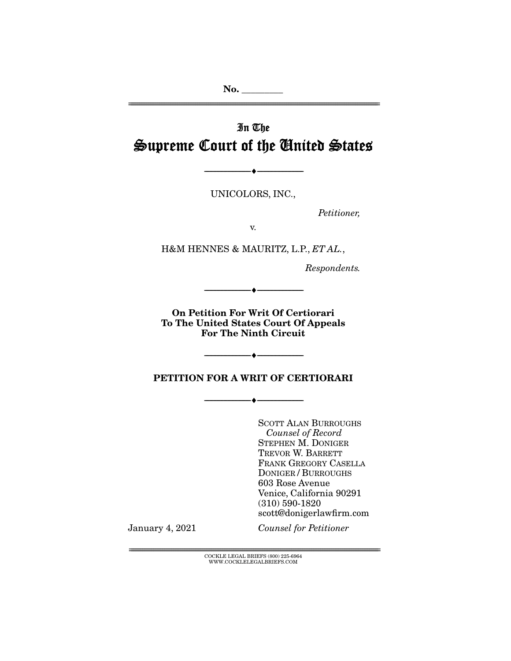**No. \_\_\_\_\_\_\_\_\_**  ================================================================================================================

# In The Supreme Court of the United States

UNICOLORS, INC.,

--------------------------------- ♦ ---------------------------------

Petitioner,

v.

H&M HENNES & MAURITZ, L.P., ET AL.,

Respondents.

**On Petition For Writ Of Certiorari To The United States Court Of Appeals For The Ninth Circuit** 

--------------------------------- ♦ ---------------------------------

**PETITION FOR A WRIT OF CERTIORARI** 

--------------------------------- ♦ ---------------------------------

--------------------------------- ♦ ---------------------------------

SCOTT ALAN BURROUGHS Counsel of Record STEPHEN M. DONIGER TREVOR W. BARRETT FRANK GREGORY CASELLA DONIGER / BURROUGHS 603 Rose Avenue Venice, California 90291 (310) 590-1820 scott@donigerlawfirm.com

January 4, 2021

Counsel for Petitioner

 ${ \rm COCKLE}$  LEGAL BRIEFS (800) 225-6964 WWW.COCKLELEGALBRIEFS.COM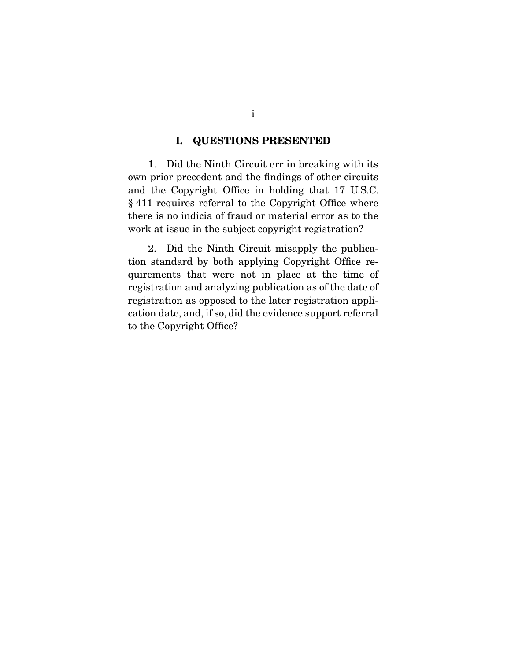### **I. QUESTIONS PRESENTED**

 1. Did the Ninth Circuit err in breaking with its own prior precedent and the findings of other circuits and the Copyright Office in holding that 17 U.S.C. § 411 requires referral to the Copyright Office where there is no indicia of fraud or material error as to the work at issue in the subject copyright registration?

2. Did the Ninth Circuit misapply the publication standard by both applying Copyright Office requirements that were not in place at the time of registration and analyzing publication as of the date of registration as opposed to the later registration application date, and, if so, did the evidence support referral to the Copyright Office?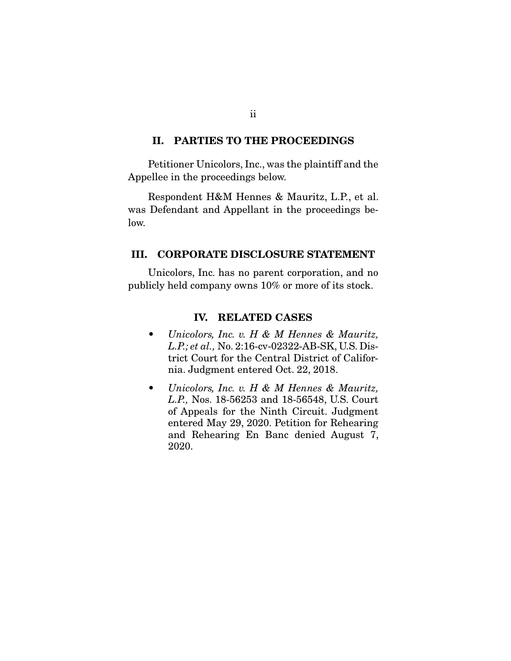#### **II. PARTIES TO THE PROCEEDINGS**

 Petitioner Unicolors, Inc., was the plaintiff and the Appellee in the proceedings below.

Respondent H&M Hennes & Mauritz, L.P., et al. was Defendant and Appellant in the proceedings below.

### **III. CORPORATE DISCLOSURE STATEMENT**

 Unicolors, Inc. has no parent corporation, and no publicly held company owns 10% or more of its stock.

### **IV. RELATED CASES**

- Unicolors, Inc. v. H & M Hennes & Mauritz, L.P.; et al., No. 2:16-cv-02322-AB-SK, U.S. District Court for the Central District of California. Judgment entered Oct. 22, 2018.
- Unicolors, Inc. v. H & M Hennes & Mauritz, L.P., Nos. 18-56253 and 18-56548, U.S. Court of Appeals for the Ninth Circuit. Judgment entered May 29, 2020. Petition for Rehearing and Rehearing En Banc denied August 7, 2020.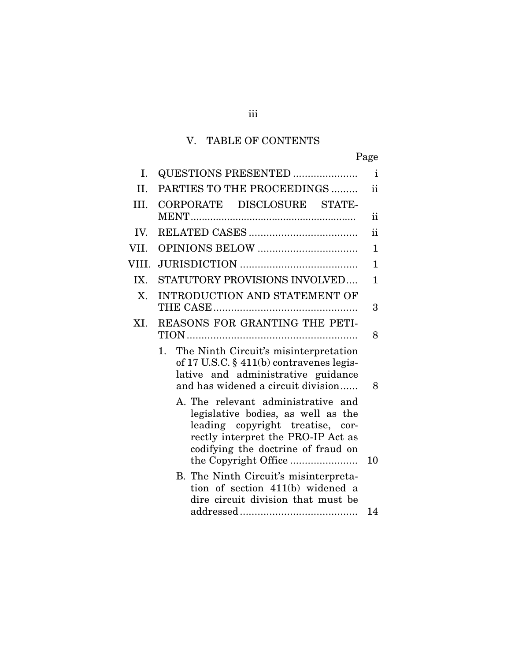# V. TABLE OF CONTENTS

iii

| Ι.    | <b>QUESTIONS PRESENTED </b>                                                                                                                                                              | $\mathbf{i}$  |
|-------|------------------------------------------------------------------------------------------------------------------------------------------------------------------------------------------|---------------|
| II.   | PARTIES TO THE PROCEEDINGS                                                                                                                                                               | ii            |
| III.  | CORPORATE DISCLOSURE STATE-                                                                                                                                                              | $\mathbf{ii}$ |
| IV.   |                                                                                                                                                                                          | ii            |
| VII.  |                                                                                                                                                                                          | $\mathbf{1}$  |
| VIII. |                                                                                                                                                                                          | $\mathbf{1}$  |
| IX.   | STATUTORY PROVISIONS INVOLVED                                                                                                                                                            | 1             |
| X.    | <b>INTRODUCTION AND STATEMENT OF</b>                                                                                                                                                     | 3             |
| XI.   | REASONS FOR GRANTING THE PETI-                                                                                                                                                           | 8             |
|       | The Ninth Circuit's misinterpretation<br>$1_{\cdot}$<br>of 17 U.S.C. $\S$ 411(b) contravenes legis-<br>lative and administrative guidance<br>and has widened a circuit division          | 8             |
|       | A. The relevant administrative and<br>legislative bodies, as well as the<br>leading copyright treatise, cor-<br>rectly interpret the PRO-IP Act as<br>codifying the doctrine of fraud on | 10            |
|       | B. The Ninth Circuit's misinterpreta-<br>tion of section 411(b) widened a<br>dire circuit division that must be                                                                          |               |
|       |                                                                                                                                                                                          | 14            |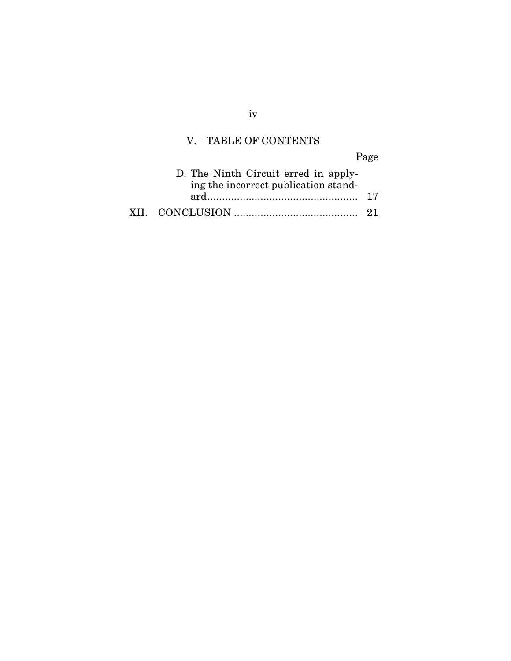# V. TABLE OF CONTENTS

Page

| D. The Ninth Circuit erred in apply-<br>ing the incorrect publication stand- |  |
|------------------------------------------------------------------------------|--|
|                                                                              |  |
|                                                                              |  |

iv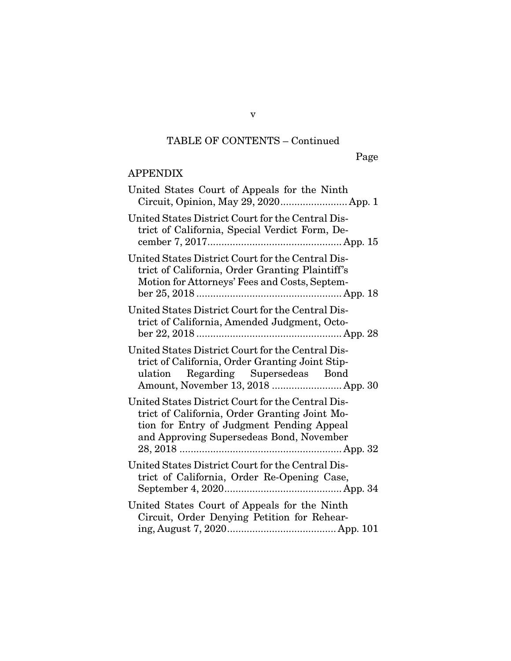# TABLE OF CONTENTS – Continued

# APPENDIX

| United States Court of Appeals for the Ninth                                                                                                                                                |
|---------------------------------------------------------------------------------------------------------------------------------------------------------------------------------------------|
| United States District Court for the Central Dis-<br>trict of California, Special Verdict Form, De-                                                                                         |
| United States District Court for the Central Dis-<br>trict of California, Order Granting Plaintiff's<br>Motion for Attorneys' Fees and Costs, Septem-                                       |
| United States District Court for the Central Dis-<br>trict of California, Amended Judgment, Octo-                                                                                           |
| United States District Court for the Central Dis-<br>trict of California, Order Granting Joint Stip-<br>ulation Regarding Supersedeas Bond<br>Amount, November 13, 2018  App. 30            |
| United States District Court for the Central Dis-<br>trict of California, Order Granting Joint Mo-<br>tion for Entry of Judgment Pending Appeal<br>and Approving Supersedeas Bond, November |
| United States District Court for the Central Dis-<br>trict of California, Order Re-Opening Case,                                                                                            |
| United States Court of Appeals for the Ninth<br>Circuit, Order Denying Petition for Rehear-                                                                                                 |

v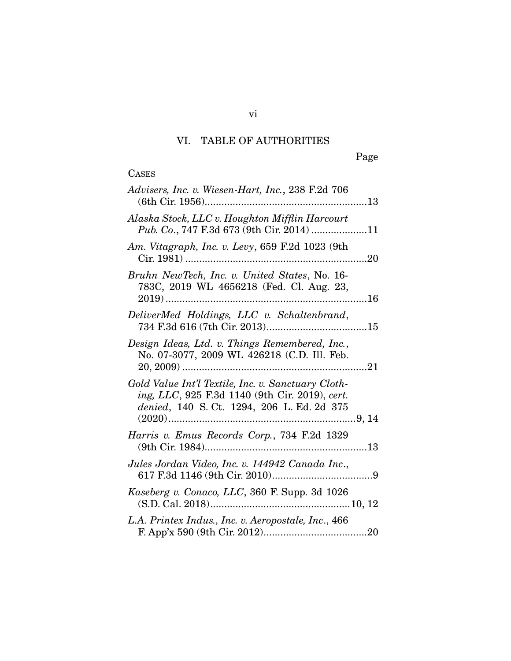# VI. TABLE OF AUTHORITIES

# **CASES**

| Advisers, Inc. v. Wiesen-Hart, Inc., 238 F.2d 706                                                                                                  |
|----------------------------------------------------------------------------------------------------------------------------------------------------|
| Alaska Stock, LLC v. Houghton Mifflin Harcourt<br>Pub. Co., 747 F.3d 673 (9th Cir. 2014) 11                                                        |
| Am. Vitagraph, Inc. v. Levy, 659 F.2d 1023 (9th                                                                                                    |
| Bruhn NewTech, Inc. v. United States, No. 16-<br>783C, 2019 WL 4656218 (Fed. Cl. Aug. 23,                                                          |
| DeliverMed Holdings, LLC v. Schaltenbrand,                                                                                                         |
| Design Ideas, Ltd. v. Things Remembered, Inc.,<br>No. 07-3077, 2009 WL 426218 (C.D. Ill. Feb.                                                      |
| Gold Value Int'l Textile, Inc. v. Sanctuary Cloth-<br>ing, LLC, 925 F.3d 1140 (9th Cir. 2019), cert.<br>denied, 140 S. Ct. 1294, 206 L. Ed. 2d 375 |
| Harris v. Emus Records Corp., 734 F.2d 1329                                                                                                        |
| Jules Jordan Video, Inc. v. 144942 Canada Inc.,                                                                                                    |
| Kaseberg v. Conaco, LLC, 360 F. Supp. 3d 1026                                                                                                      |
| L.A. Printex Indus., Inc. v. Aeropostale, Inc., 466                                                                                                |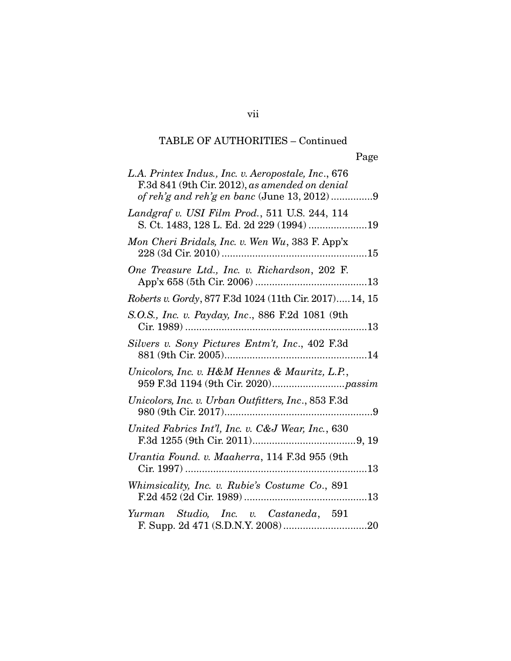# TABLE OF AUTHORITIES – Continued

| L.A. Printex Indus., Inc. v. Aeropostale, Inc., 676<br>F.3d 841 (9th Cir. 2012), as amended on denial<br>of reh'g and reh'g en banc (June 13, 2012)9 |
|------------------------------------------------------------------------------------------------------------------------------------------------------|
| Landgraf v. USI Film Prod., 511 U.S. 244, 114<br>S. Ct. 1483, 128 L. Ed. 2d 229 (1994) 19                                                            |
| Mon Cheri Bridals, Inc. v. Wen Wu, 383 F. App'x                                                                                                      |
| One Treasure Ltd., Inc. v. Richardson, 202 F.                                                                                                        |
| Roberts v. Gordy, 877 F.3d 1024 (11th Cir. 2017)14, 15                                                                                               |
| S.O.S., Inc. v. Payday, Inc., 886 F.2d 1081 (9th                                                                                                     |
| Silvers v. Sony Pictures Entm't, Inc., 402 F.3d                                                                                                      |
| Unicolors, Inc. v. H&M Hennes & Mauritz, L.P.,                                                                                                       |
| Unicolors, Inc. v. Urban Outfitters, Inc., 853 F.3d                                                                                                  |
| United Fabrics Int'l, Inc. v. C&J Wear, Inc., 630                                                                                                    |
| Urantia Found. v. Maaherra, 114 F.3d 955 (9th                                                                                                        |
| Whimsicality, Inc. v. Rubie's Costume Co., 891                                                                                                       |
| Yurman Studio, Inc. v. Castaneda, 591                                                                                                                |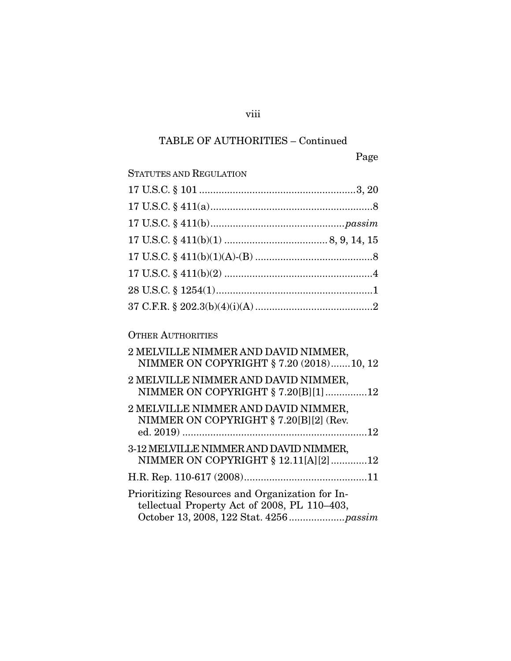# TABLE OF AUTHORITIES – Continued

viii

| <b>STATUTES AND REGULATION</b>                                                                  |
|-------------------------------------------------------------------------------------------------|
|                                                                                                 |
|                                                                                                 |
|                                                                                                 |
|                                                                                                 |
|                                                                                                 |
|                                                                                                 |
|                                                                                                 |
|                                                                                                 |
|                                                                                                 |
| <b>OTHER AUTHORITIES</b>                                                                        |
| 2 MELVILLE NIMMER AND DAVID NIMMER,<br>NIMMER ON COPYRIGHT § 7.20 (2018)10, 12                  |
| 2 MELVILLE NIMMER AND DAVID NIMMER,<br>NIMMER ON COPYRIGHT § 7.20[B][1]12                       |
| 2 MELVILLE NIMMER AND DAVID NIMMER,<br>NIMMER ON COPYRIGHT § 7.20[B][2] (Rev.                   |
| 3-12 MELVILLE NIMMER AND DAVID NIMMER,<br>NIMMER ON COPYRIGHT § 12.11[A][2]12                   |
|                                                                                                 |
| Prioritizing Resources and Organization for In-<br>tellectual Property Act of 2008, PL 110-403, |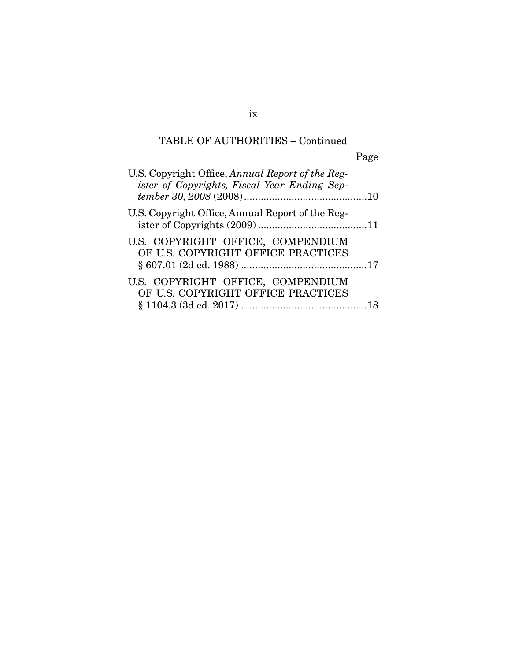# TABLE OF AUTHORITIES – Continued

Page

| U.S. Copyright Office, Annual Report of the Reg-<br>ister of Copyrights, Fiscal Year Ending Sep- |  |
|--------------------------------------------------------------------------------------------------|--|
| U.S. Copyright Office, Annual Report of the Reg-                                                 |  |
| U.S. COPYRIGHT OFFICE, COMPENDIUM<br>OF U.S. COPYRIGHT OFFICE PRACTICES                          |  |
| U.S. COPYRIGHT OFFICE, COMPENDIUM<br>OF U.S. COPYRIGHT OFFICE PRACTICES                          |  |

ix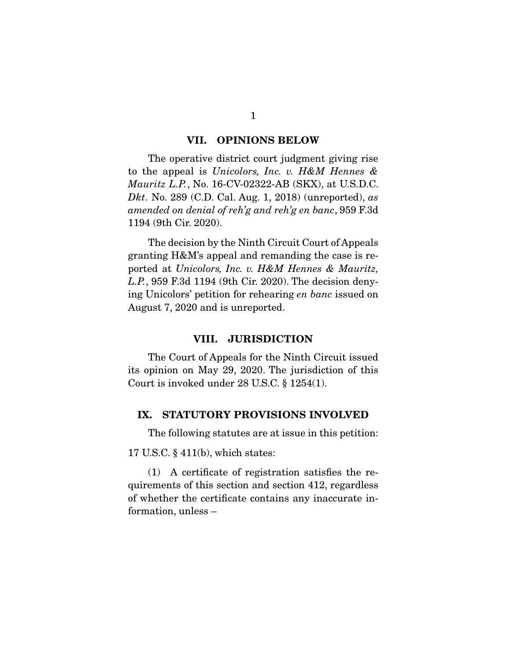#### **VII. OPINIONS BELOW**

 The operative district court judgment giving rise to the appeal is *Unicolors, Inc. v. H&M Hennes & Mauritz L.P.*, No. 16-CV-02322-AB (SKX), at U.S.D.C. *Dkt*. No. 289 (C.D. Cal. Aug. 1, 2018) (unreported), *as amended on denial of reh'g and reh'g en banc*, 959 F.3d 1194 (9th Cir. 2020).

 The decision by the Ninth Circuit Court of Appeals granting H&M's appeal and remanding the case is reported at *Unicolors, Inc. v. H&M Hennes & Mauritz, L.P.*, 959 F.3d 1194 (9th Cir. 2020). The decision denying Unicolors' petition for rehearing *en banc* issued on August 7, 2020 and is unreported.

#### **VIII. JURISDICTION**

 The Court of Appeals for the Ninth Circuit issued its opinion on May 29, 2020. The jurisdiction of this Court is invoked under 28 U.S.C. § 1254(1).

#### **IX. STATUTORY PROVISIONS INVOLVED**

The following statutes are at issue in this petition:

17 U.S.C. § 411(b), which states:

 (1) A certificate of registration satisfies the requirements of this section and section 412, regardless of whether the certificate contains any inaccurate information, unless –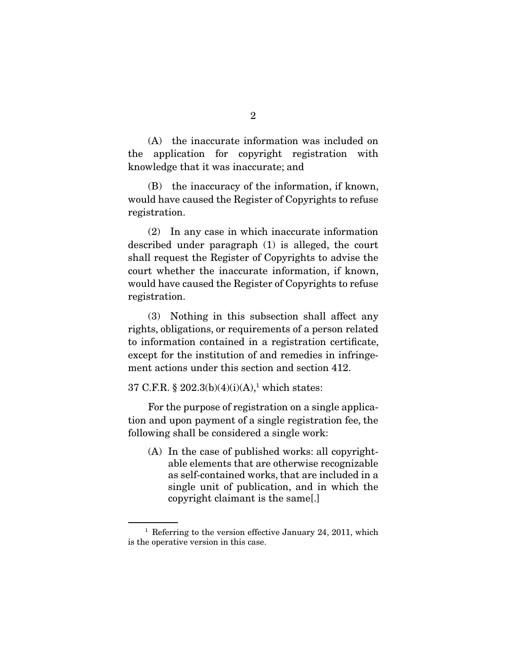(A) the inaccurate information was included on the application for copyright registration with knowledge that it was inaccurate; and

 (B) the inaccuracy of the information, if known, would have caused the Register of Copyrights to refuse registration.

 (2) In any case in which inaccurate information described under paragraph (1) is alleged, the court shall request the Register of Copyrights to advise the court whether the inaccurate information, if known, would have caused the Register of Copyrights to refuse registration.

 (3) Nothing in this subsection shall affect any rights, obligations, or requirements of a person related to information contained in a registration certificate, except for the institution of and remedies in infringement actions under this section and section 412.

37 C.F.R.  $\S 202.3(b)(4)(i)(A)$ ,<sup>1</sup> which states:

 For the purpose of registration on a single application and upon payment of a single registration fee, the following shall be considered a single work:

(A) In the case of published works: all copyrightable elements that are otherwise recognizable as self-contained works, that are included in a single unit of publication, and in which the copyright claimant is the same[.]

 $1$  Referring to the version effective January 24, 2011, which is the operative version in this case.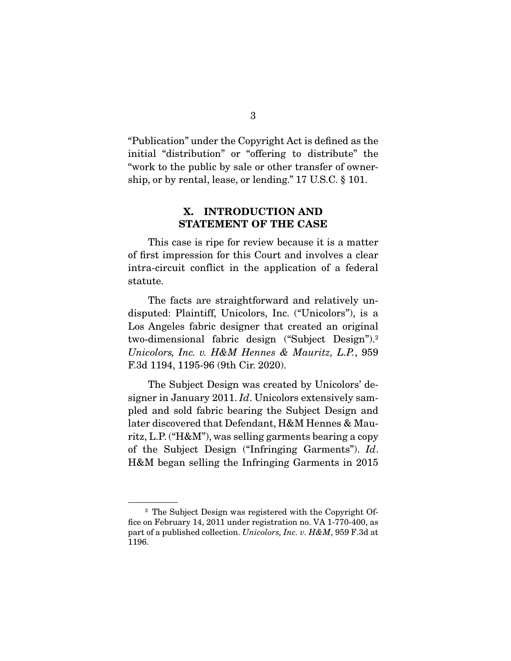"Publication" under the Copyright Act is defined as the initial "distribution" or "offering to distribute" the "work to the public by sale or other transfer of ownership, or by rental, lease, or lending." 17 U.S.C. § 101.

### **X. INTRODUCTION AND STATEMENT OF THE CASE**

 This case is ripe for review because it is a matter of first impression for this Court and involves a clear intra-circuit conflict in the application of a federal statute.

 The facts are straightforward and relatively undisputed: Plaintiff, Unicolors, Inc. ("Unicolors"), is a Los Angeles fabric designer that created an original two-dimensional fabric design ("Subject Design").2 *Unicolors, Inc. v. H&M Hennes & Mauritz, L.P.*, 959 F.3d 1194, 1195-96 (9th Cir. 2020).

 The Subject Design was created by Unicolors' designer in January 2011. *Id*. Unicolors extensively sampled and sold fabric bearing the Subject Design and later discovered that Defendant, H&M Hennes & Mauritz, L.P. ("H&M"), was selling garments bearing a copy of the Subject Design ("Infringing Garments"). *Id*. H&M began selling the Infringing Garments in 2015

<sup>2</sup> The Subject Design was registered with the Copyright Office on February 14, 2011 under registration no. VA 1-770-400, as part of a published collection. *Unicolors, Inc. v. H&M*, 959 F.3d at 1196.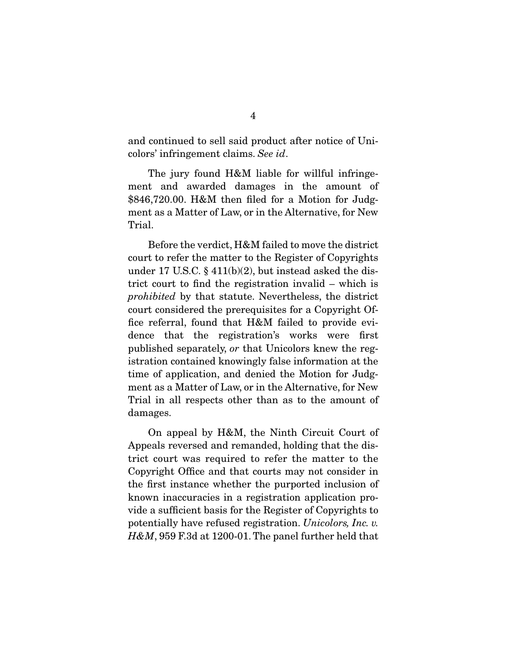and continued to sell said product after notice of Unicolors' infringement claims. *See id*.

 The jury found H&M liable for willful infringement and awarded damages in the amount of \$846,720.00. H&M then filed for a Motion for Judgment as a Matter of Law, or in the Alternative, for New Trial.

 Before the verdict, H&M failed to move the district court to refer the matter to the Register of Copyrights under 17 U.S.C.  $\S$  411(b)(2), but instead asked the district court to find the registration invalid – which is *prohibited* by that statute. Nevertheless, the district court considered the prerequisites for a Copyright Office referral, found that H&M failed to provide evidence that the registration's works were first published separately, *or* that Unicolors knew the registration contained knowingly false information at the time of application, and denied the Motion for Judgment as a Matter of Law, or in the Alternative, for New Trial in all respects other than as to the amount of damages.

 On appeal by H&M, the Ninth Circuit Court of Appeals reversed and remanded, holding that the district court was required to refer the matter to the Copyright Office and that courts may not consider in the first instance whether the purported inclusion of known inaccuracies in a registration application provide a sufficient basis for the Register of Copyrights to potentially have refused registration. *Unicolors, Inc. v. H&M*, 959 F.3d at 1200-01. The panel further held that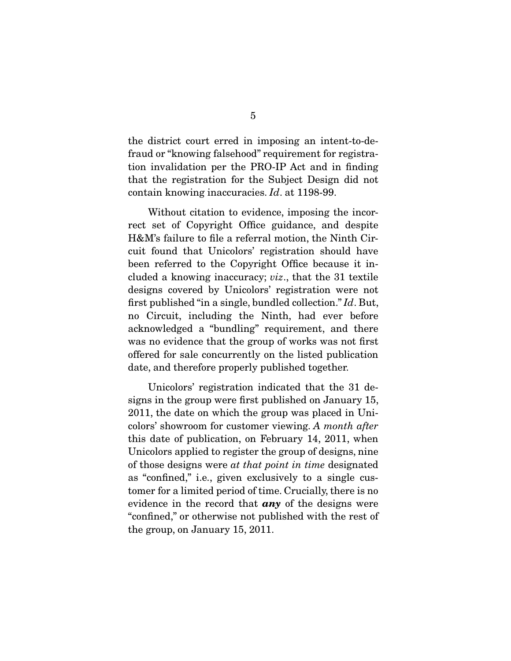the district court erred in imposing an intent-to-defraud or "knowing falsehood" requirement for registration invalidation per the PRO-IP Act and in finding that the registration for the Subject Design did not contain knowing inaccuracies. *Id*. at 1198-99.

 Without citation to evidence, imposing the incorrect set of Copyright Office guidance, and despite H&M's failure to file a referral motion, the Ninth Circuit found that Unicolors' registration should have been referred to the Copyright Office because it included a knowing inaccuracy; *viz*., that the 31 textile designs covered by Unicolors' registration were not first published "in a single, bundled collection." *Id*. But, no Circuit, including the Ninth, had ever before acknowledged a "bundling" requirement, and there was no evidence that the group of works was not first offered for sale concurrently on the listed publication date, and therefore properly published together.

 Unicolors' registration indicated that the 31 designs in the group were first published on January 15, 2011, the date on which the group was placed in Unicolors' showroom for customer viewing. *A month after* this date of publication, on February 14, 2011, when Unicolors applied to register the group of designs, nine of those designs were *at that point in time* designated as "confined," i.e., given exclusively to a single customer for a limited period of time. Crucially, there is no evidence in the record that *any* of the designs were "confined," or otherwise not published with the rest of the group, on January 15, 2011.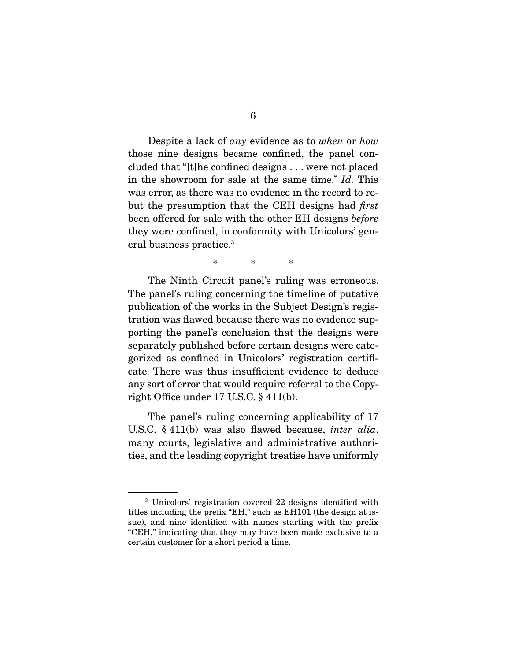Despite a lack of *any* evidence as to *when* or *how* those nine designs became confined, the panel concluded that "[t]he confined designs . . . were not placed in the showroom for sale at the same time." *Id.* This was error, as there was no evidence in the record to rebut the presumption that the CEH designs had *first* been offered for sale with the other EH designs *before*  they were confined, in conformity with Unicolors' general business practice.<sup>3</sup>

\* \* \*

 The Ninth Circuit panel's ruling was erroneous. The panel's ruling concerning the timeline of putative publication of the works in the Subject Design's registration was flawed because there was no evidence supporting the panel's conclusion that the designs were separately published before certain designs were categorized as confined in Unicolors' registration certificate. There was thus insufficient evidence to deduce any sort of error that would require referral to the Copyright Office under 17 U.S.C. § 411(b).

 The panel's ruling concerning applicability of 17 U.S.C. § 411(b) was also flawed because, *inter alia*, many courts, legislative and administrative authorities, and the leading copyright treatise have uniformly

<sup>3</sup> Unicolors' registration covered 22 designs identified with titles including the prefix "EH," such as EH101 (the design at issue), and nine identified with names starting with the prefix "CEH," indicating that they may have been made exclusive to a certain customer for a short period a time.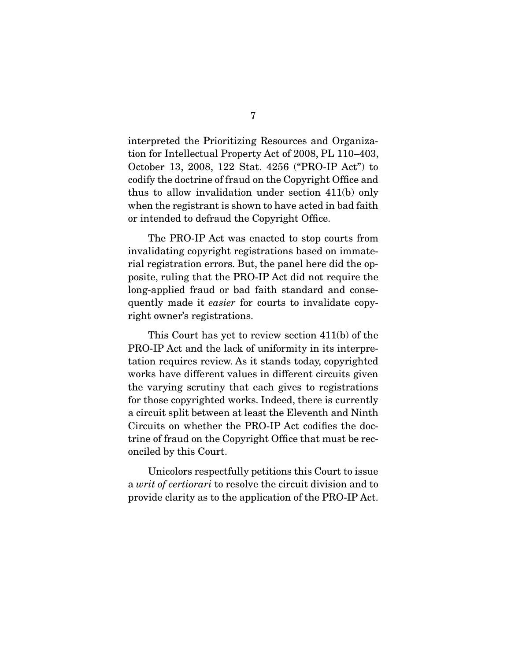interpreted the Prioritizing Resources and Organization for Intellectual Property Act of 2008, PL 110–403, October 13, 2008, 122 Stat. 4256 ("PRO-IP Act") to codify the doctrine of fraud on the Copyright Office and thus to allow invalidation under section 411(b) only when the registrant is shown to have acted in bad faith or intended to defraud the Copyright Office.

 The PRO-IP Act was enacted to stop courts from invalidating copyright registrations based on immaterial registration errors. But, the panel here did the opposite, ruling that the PRO-IP Act did not require the long-applied fraud or bad faith standard and consequently made it *easier* for courts to invalidate copyright owner's registrations.

 This Court has yet to review section 411(b) of the PRO-IP Act and the lack of uniformity in its interpretation requires review. As it stands today, copyrighted works have different values in different circuits given the varying scrutiny that each gives to registrations for those copyrighted works. Indeed, there is currently a circuit split between at least the Eleventh and Ninth Circuits on whether the PRO-IP Act codifies the doctrine of fraud on the Copyright Office that must be reconciled by this Court.

 Unicolors respectfully petitions this Court to issue a *writ of certiorari* to resolve the circuit division and to provide clarity as to the application of the PRO-IP Act.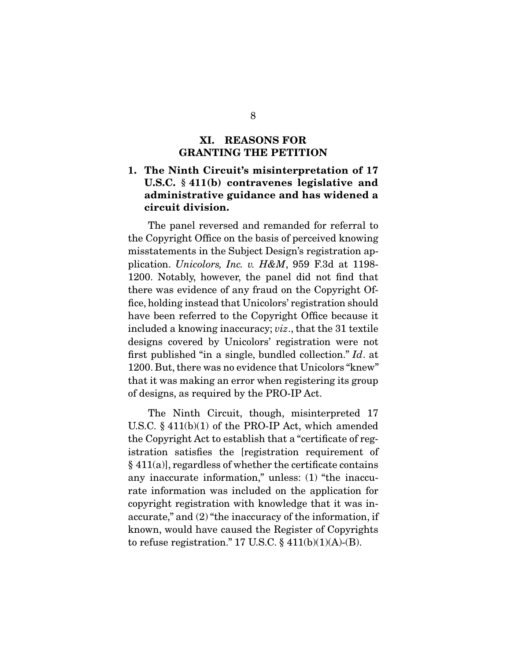### **XI. REASONS FOR GRANTING THE PETITION**

## **1. The Ninth Circuit's misinterpretation of 17 U.S.C. § 411(b) contravenes legislative and administrative guidance and has widened a circuit division.**

 The panel reversed and remanded for referral to the Copyright Office on the basis of perceived knowing misstatements in the Subject Design's registration application. *Unicolors, Inc. v. H&M*, 959 F.3d at 1198- 1200. Notably, however, the panel did not find that there was evidence of any fraud on the Copyright Office, holding instead that Unicolors' registration should have been referred to the Copyright Office because it included a knowing inaccuracy; *viz*., that the 31 textile designs covered by Unicolors' registration were not first published "in a single, bundled collection." *Id*. at 1200. But, there was no evidence that Unicolors "knew" that it was making an error when registering its group of designs, as required by the PRO-IP Act.

 The Ninth Circuit, though, misinterpreted 17 U.S.C. § 411(b)(1) of the PRO-IP Act, which amended the Copyright Act to establish that a "certificate of registration satisfies the [registration requirement of  $§ 411(a)$ , regardless of whether the certificate contains any inaccurate information," unless: (1) "the inaccurate information was included on the application for copyright registration with knowledge that it was inaccurate," and (2) "the inaccuracy of the information, if known, would have caused the Register of Copyrights to refuse registration." 17 U.S.C.  $\S$  411(b)(1)(A)-(B).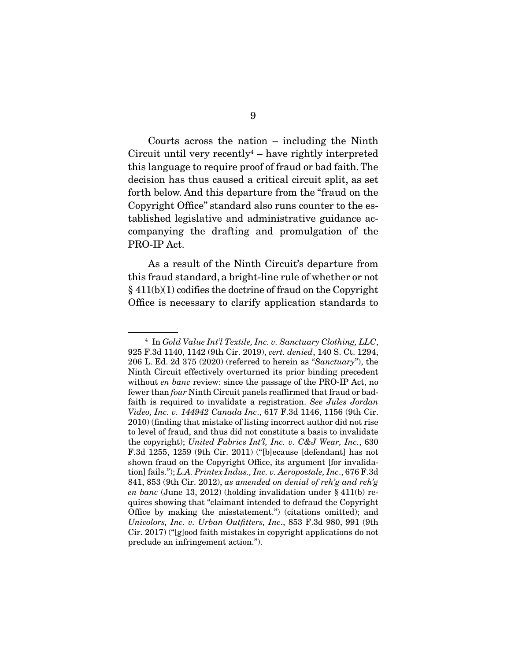Courts across the nation – including the Ninth  $Circuit$  until very recently<sup>4</sup>  $-$  have rightly interpreted this language to require proof of fraud or bad faith. The decision has thus caused a critical circuit split, as set forth below. And this departure from the "fraud on the Copyright Office" standard also runs counter to the established legislative and administrative guidance accompanying the drafting and promulgation of the PRO-IP Act.

 As a result of the Ninth Circuit's departure from this fraud standard, a bright-line rule of whether or not  $§$  411(b)(1) codifies the doctrine of fraud on the Copyright Office is necessary to clarify application standards to

<sup>4</sup> In *Gold Value Int'l Textile, Inc. v. Sanctuary Clothing, LLC*, 925 F.3d 1140, 1142 (9th Cir. 2019), *cert. denied*, 140 S. Ct. 1294, 206 L. Ed. 2d 375 (2020) (referred to herein as "*Sanctuary*"), the Ninth Circuit effectively overturned its prior binding precedent without *en banc* review: since the passage of the PRO-IP Act, no fewer than *four* Ninth Circuit panels reaffirmed that fraud or badfaith is required to invalidate a registration. *See Jules Jordan Video, Inc. v. 144942 Canada Inc*., 617 F.3d 1146, 1156 (9th Cir. 2010) (finding that mistake of listing incorrect author did not rise to level of fraud, and thus did not constitute a basis to invalidate the copyright); *United Fabrics Int'l, Inc. v. C&J Wear, Inc.*, 630 F.3d 1255, 1259 (9th Cir. 2011) ("[b]ecause [defendant] has not shown fraud on the Copyright Office, its argument [for invalidation] fails."); *L.A. Printex Indus., Inc. v. Aeropostale, Inc*., 676 F.3d 841, 853 (9th Cir. 2012), *as amended on denial of reh'g and reh'g en banc* (June 13, 2012) (holding invalidation under § 411(b) requires showing that "claimant intended to defraud the Copyright Office by making the misstatement.") (citations omitted); and *Unicolors, Inc. v. Urban Outfitters, Inc*., 853 F.3d 980, 991 (9th Cir. 2017) ("[g]ood faith mistakes in copyright applications do not preclude an infringement action.").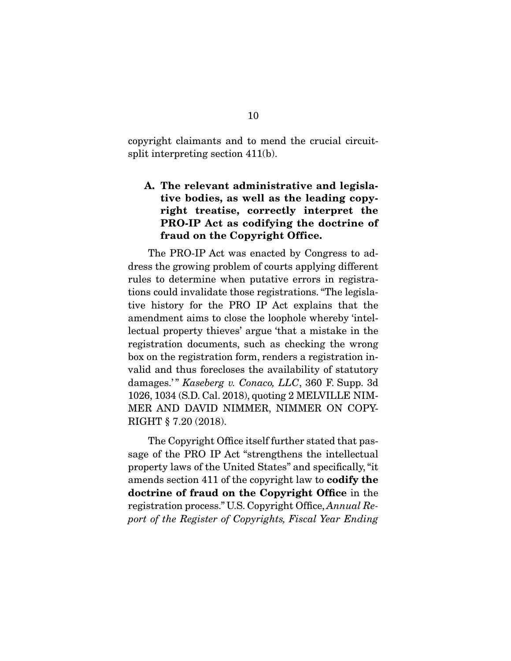copyright claimants and to mend the crucial circuitsplit interpreting section 411(b).

## **A. The relevant administrative and legislative bodies, as well as the leading copyright treatise, correctly interpret the PRO-IP Act as codifying the doctrine of fraud on the Copyright Office.**

 The PRO-IP Act was enacted by Congress to address the growing problem of courts applying different rules to determine when putative errors in registrations could invalidate those registrations. "The legislative history for the PRO IP Act explains that the amendment aims to close the loophole whereby 'intellectual property thieves' argue 'that a mistake in the registration documents, such as checking the wrong box on the registration form, renders a registration invalid and thus forecloses the availability of statutory damages.'" *Kaseberg v. Conaco, LLC*, 360 F. Supp. 3d 1026, 1034 (S.D. Cal. 2018), quoting 2 MELVILLE NIM-MER AND DAVID NIMMER, NIMMER ON COPY-RIGHT § 7.20 (2018).

 The Copyright Office itself further stated that passage of the PRO IP Act "strengthens the intellectual property laws of the United States" and specifically, "it amends section 411 of the copyright law to **codify the doctrine of fraud on the Copyright Office** in the registration process." U.S. Copyright Office, *Annual Report of the Register of Copyrights, Fiscal Year Ending*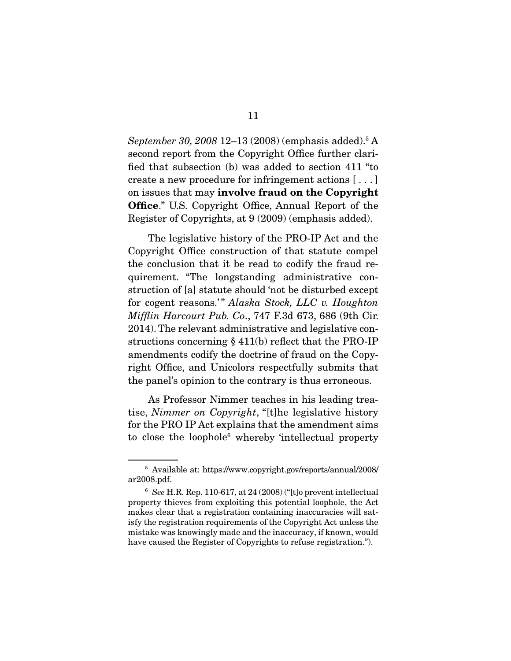September 30, 2008 12–13 (2008) (emphasis added).<sup>5</sup> A second report from the Copyright Office further clarified that subsection (b) was added to section 411 "to create a new procedure for infringement actions [ . . . ] on issues that may **involve fraud on the Copyright Office**." U.S. Copyright Office, Annual Report of the Register of Copyrights, at 9 (2009) (emphasis added).

 The legislative history of the PRO-IP Act and the Copyright Office construction of that statute compel the conclusion that it be read to codify the fraud requirement. "The longstanding administrative construction of [a] statute should 'not be disturbed except for cogent reasons.'" Alaska Stock, LLC v. Houghton *Mifflin Harcourt Pub. Co*., 747 F.3d 673, 686 (9th Cir. 2014). The relevant administrative and legislative constructions concerning  $\S$  411(b) reflect that the PRO-IP amendments codify the doctrine of fraud on the Copyright Office, and Unicolors respectfully submits that the panel's opinion to the contrary is thus erroneous.

 As Professor Nimmer teaches in his leading treatise, *Nimmer on Copyright*, "[t]he legislative history for the PRO IP Act explains that the amendment aims to close the loophole<sup>6</sup> whereby 'intellectual property

<sup>5</sup> Available at: https://www.copyright.gov/reports/annual/2008/ ar2008.pdf.

<sup>6</sup> *See* H.R. Rep. 110-617, at 24 (2008) ("[t]o prevent intellectual property thieves from exploiting this potential loophole, the Act makes clear that a registration containing inaccuracies will satisfy the registration requirements of the Copyright Act unless the mistake was knowingly made and the inaccuracy, if known, would have caused the Register of Copyrights to refuse registration.").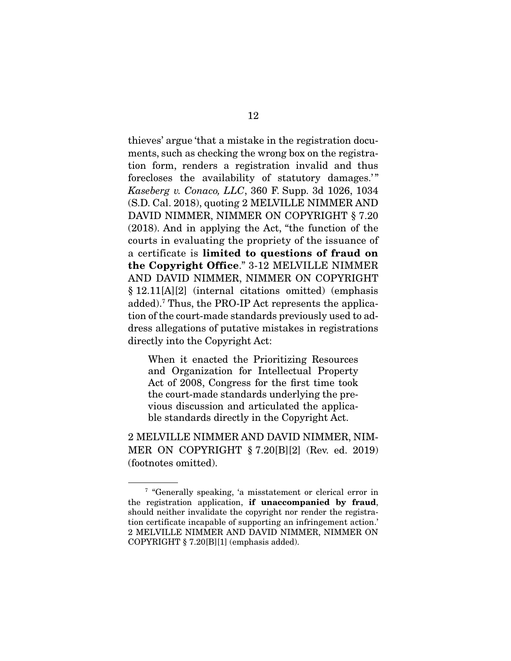thieves' argue 'that a mistake in the registration documents, such as checking the wrong box on the registration form, renders a registration invalid and thus forecloses the availability of statutory damages.'" *Kaseberg v. Conaco, LLC*, 360 F. Supp. 3d 1026, 1034 (S.D. Cal. 2018), quoting 2 MELVILLE NIMMER AND DAVID NIMMER, NIMMER ON COPYRIGHT § 7.20 (2018). And in applying the Act, "the function of the courts in evaluating the propriety of the issuance of a certificate is **limited to questions of fraud on the Copyright Office**." 3-12 MELVILLE NIMMER AND DAVID NIMMER, NIMMER ON COPYRIGHT § 12.11[A][2] (internal citations omitted) (emphasis added).7 Thus, the PRO-IP Act represents the application of the court-made standards previously used to address allegations of putative mistakes in registrations directly into the Copyright Act:

When it enacted the Prioritizing Resources and Organization for Intellectual Property Act of 2008, Congress for the first time took the court-made standards underlying the previous discussion and articulated the applicable standards directly in the Copyright Act.

2 MELVILLE NIMMER AND DAVID NIMMER, NIM-MER ON COPYRIGHT § 7.20[B][2] (Rev. ed. 2019) (footnotes omitted).

<sup>7</sup> "Generally speaking, 'a misstatement or clerical error in the registration application, **if unaccompanied by fraud**, should neither invalidate the copyright nor render the registration certificate incapable of supporting an infringement action.' 2 MELVILLE NIMMER AND DAVID NIMMER, NIMMER ON COPYRIGHT § 7.20[B][1] (emphasis added).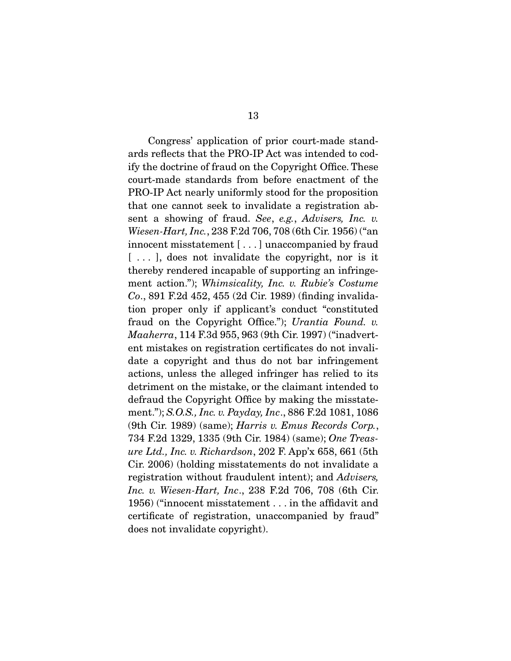Congress' application of prior court-made standards reflects that the PRO-IP Act was intended to codify the doctrine of fraud on the Copyright Office. These court-made standards from before enactment of the PRO-IP Act nearly uniformly stood for the proposition that one cannot seek to invalidate a registration absent a showing of fraud. *See*, *e.g.*, *Advisers, Inc. v. Wiesen-Hart, Inc.*, 238 F.2d 706, 708 (6th Cir. 1956) ("an innocent misstatement [ . . . ] unaccompanied by fraud [...], does not invalidate the copyright, nor is it thereby rendered incapable of supporting an infringement action."); *Whimsicality, Inc. v. Rubie's Costume Co*., 891 F.2d 452, 455 (2d Cir. 1989) (finding invalidation proper only if applicant's conduct "constituted fraud on the Copyright Office."); *Urantia Found. v. Maaherra*, 114 F.3d 955, 963 (9th Cir. 1997) ("inadvertent mistakes on registration certificates do not invalidate a copyright and thus do not bar infringement actions, unless the alleged infringer has relied to its detriment on the mistake, or the claimant intended to defraud the Copyright Office by making the misstatement."); *S.O.S., Inc. v. Payday, Inc*., 886 F.2d 1081, 1086 (9th Cir. 1989) (same); *Harris v. Emus Records Corp.*, 734 F.2d 1329, 1335 (9th Cir. 1984) (same); *One Treasure Ltd., Inc. v. Richardson*, 202 F. App'x 658, 661 (5th Cir. 2006) (holding misstatements do not invalidate a registration without fraudulent intent); and *Advisers, Inc. v. Wiesen-Hart, Inc*., 238 F.2d 706, 708 (6th Cir. 1956) ("innocent misstatement . . . in the affidavit and certificate of registration, unaccompanied by fraud" does not invalidate copyright).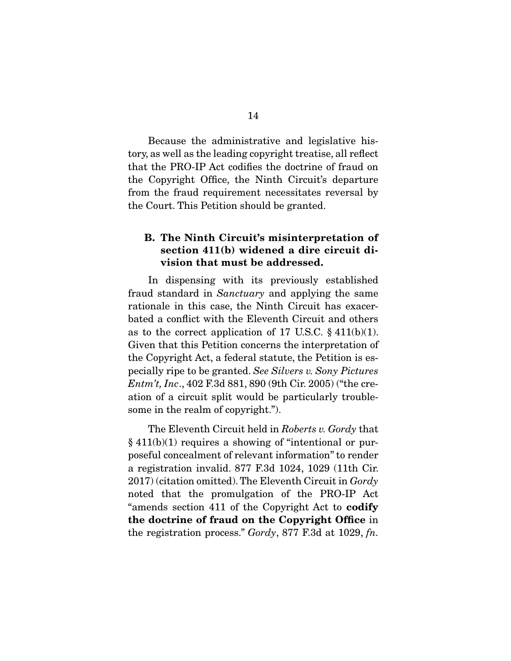Because the administrative and legislative history, as well as the leading copyright treatise, all reflect that the PRO-IP Act codifies the doctrine of fraud on the Copyright Office, the Ninth Circuit's departure from the fraud requirement necessitates reversal by the Court. This Petition should be granted.

### **B. The Ninth Circuit's misinterpretation of section 411(b) widened a dire circuit division that must be addressed.**

 In dispensing with its previously established fraud standard in *Sanctuary* and applying the same rationale in this case, the Ninth Circuit has exacerbated a conflict with the Eleventh Circuit and others as to the correct application of 17 U.S.C.  $\S$  411(b)(1). Given that this Petition concerns the interpretation of the Copyright Act, a federal statute, the Petition is especially ripe to be granted. *See Silvers v. Sony Pictures Entm't, Inc*., 402 F.3d 881, 890 (9th Cir. 2005) ("the creation of a circuit split would be particularly troublesome in the realm of copyright.").

 The Eleventh Circuit held in *Roberts v. Gordy* that  $§$  411(b)(1) requires a showing of "intentional or purposeful concealment of relevant information" to render a registration invalid. 877 F.3d 1024, 1029 (11th Cir. 2017) (citation omitted). The Eleventh Circuit in *Gordy*  noted that the promulgation of the PRO-IP Act "amends section 411 of the Copyright Act to **codify the doctrine of fraud on the Copyright Office** in the registration process." *Gordy*, 877 F.3d at 1029, *fn.*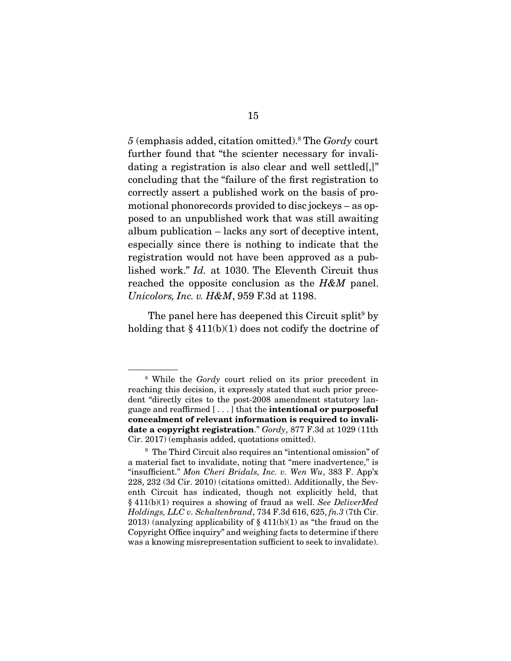*5* (emphasis added, citation omitted).8 The *Gordy* court further found that "the scienter necessary for invalidating a registration is also clear and well settled.]" concluding that the "failure of the first registration to correctly assert a published work on the basis of promotional phonorecords provided to disc jockeys – as opposed to an unpublished work that was still awaiting album publication – lacks any sort of deceptive intent, especially since there is nothing to indicate that the registration would not have been approved as a published work." *Id.* at 1030. The Eleventh Circuit thus reached the opposite conclusion as the *H&M* panel. *Unicolors, Inc. v. H&M*, 959 F.3d at 1198.

The panel here has deepened this Circuit split<sup>9</sup> by holding that  $\S 411(b)(1)$  does not codify the doctrine of

<sup>8</sup> While the *Gordy* court relied on its prior precedent in reaching this decision, it expressly stated that such prior precedent "directly cites to the post-2008 amendment statutory language and reaffirmed [ . . . ] that the **intentional or purposeful concealment of relevant information is required to invalidate a copyright registration**." *Gordy*, 877 F.3d at 1029 (11th Cir. 2017) (emphasis added, quotations omitted).

<sup>9</sup> The Third Circuit also requires an "intentional omission" of a material fact to invalidate, noting that "mere inadvertence," is "insufficient." *Mon Cheri Bridals, Inc. v. Wen Wu*, 383 F. App'x 228, 232 (3d Cir. 2010) (citations omitted). Additionally, the Seventh Circuit has indicated, though not explicitly held, that § 411(b)(1) requires a showing of fraud as well. *See DeliverMed Holdings, LLC v. Schaltenbrand*, 734 F.3d 616, 625, *fn.3* (7th Cir. 2013) (analyzing applicability of  $\S 411(b)(1)$  as "the fraud on the Copyright Office inquiry" and weighing facts to determine if there was a knowing misrepresentation sufficient to seek to invalidate).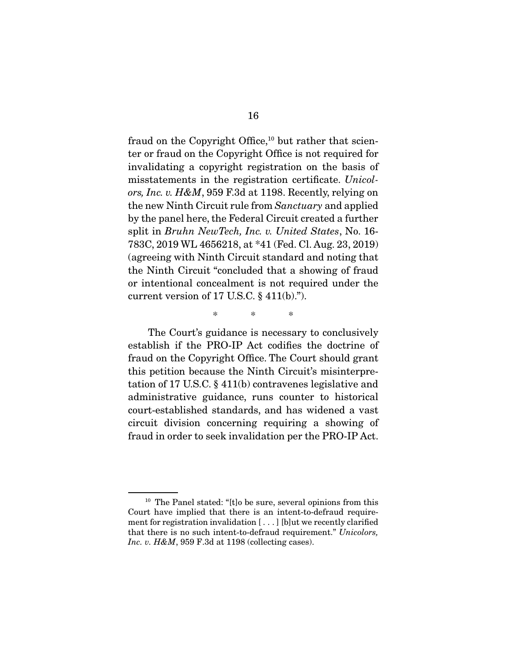fraud on the Copyright Office, $10$  but rather that scienter or fraud on the Copyright Office is not required for invalidating a copyright registration on the basis of misstatements in the registration certificate. *Unicolors, Inc. v. H&M*, 959 F.3d at 1198. Recently, relying on the new Ninth Circuit rule from *Sanctuary* and applied by the panel here, the Federal Circuit created a further split in *Bruhn NewTech, Inc. v. United States*, No. 16- 783C, 2019 WL 4656218, at \*41 (Fed. Cl. Aug. 23, 2019) (agreeing with Ninth Circuit standard and noting that the Ninth Circuit "concluded that a showing of fraud or intentional concealment is not required under the current version of 17 U.S.C.  $\S$  411(b).").

 The Court's guidance is necessary to conclusively establish if the PRO-IP Act codifies the doctrine of fraud on the Copyright Office. The Court should grant this petition because the Ninth Circuit's misinterpretation of 17 U.S.C. § 411(b) contravenes legislative and administrative guidance, runs counter to historical court-established standards, and has widened a vast circuit division concerning requiring a showing of fraud in order to seek invalidation per the PRO-IP Act.

\* \* \*

<sup>&</sup>lt;sup>10</sup> The Panel stated: "[t]o be sure, several opinions from this Court have implied that there is an intent-to-defraud requirement for registration invalidation [ . . . ] [b]ut we recently clarified that there is no such intent-to-defraud requirement." *Unicolors, Inc. v. H&M*, 959 F.3d at 1198 (collecting cases).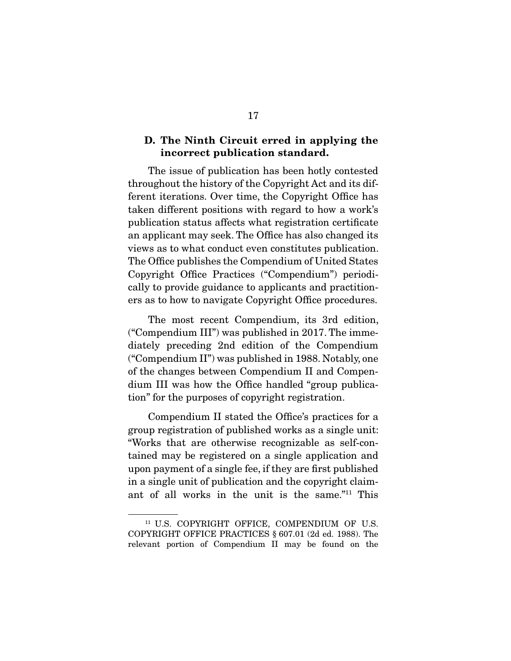### **D. The Ninth Circuit erred in applying the incorrect publication standard.**

 The issue of publication has been hotly contested throughout the history of the Copyright Act and its different iterations. Over time, the Copyright Office has taken different positions with regard to how a work's publication status affects what registration certificate an applicant may seek. The Office has also changed its views as to what conduct even constitutes publication. The Office publishes the Compendium of United States Copyright Office Practices ("Compendium") periodically to provide guidance to applicants and practitioners as to how to navigate Copyright Office procedures.

 The most recent Compendium, its 3rd edition, ("Compendium III") was published in 2017. The immediately preceding 2nd edition of the Compendium ("Compendium II") was published in 1988. Notably, one of the changes between Compendium II and Compendium III was how the Office handled "group publication" for the purposes of copyright registration.

 Compendium II stated the Office's practices for a group registration of published works as a single unit: "Works that are otherwise recognizable as self-contained may be registered on a single application and upon payment of a single fee, if they are first published in a single unit of publication and the copyright claimant of all works in the unit is the same."11 This

<sup>&</sup>lt;sup>11</sup> U.S. COPYRIGHT OFFICE, COMPENDIUM OF U.S. COPYRIGHT OFFICE PRACTICES § 607.01 (2d ed. 1988). The relevant portion of Compendium II may be found on the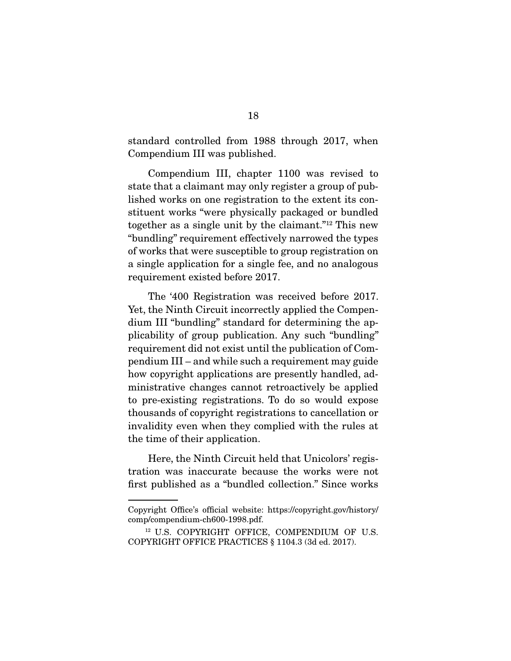standard controlled from 1988 through 2017, when Compendium III was published.

 Compendium III, chapter 1100 was revised to state that a claimant may only register a group of published works on one registration to the extent its constituent works "were physically packaged or bundled together as a single unit by the claimant."12 This new "bundling" requirement effectively narrowed the types of works that were susceptible to group registration on a single application for a single fee, and no analogous requirement existed before 2017.

 The '400 Registration was received before 2017. Yet, the Ninth Circuit incorrectly applied the Compendium III "bundling" standard for determining the applicability of group publication. Any such "bundling" requirement did not exist until the publication of Compendium III – and while such a requirement may guide how copyright applications are presently handled, administrative changes cannot retroactively be applied to pre-existing registrations. To do so would expose thousands of copyright registrations to cancellation or invalidity even when they complied with the rules at the time of their application.

 Here, the Ninth Circuit held that Unicolors' registration was inaccurate because the works were not first published as a "bundled collection." Since works

Copyright Office's official website: https://copyright.gov/history/ comp/compendium-ch600-1998.pdf.

<sup>&</sup>lt;sup>12</sup> U.S. COPYRIGHT OFFICE, COMPENDIUM OF U.S. COPYRIGHT OFFICE PRACTICES § 1104.3 (3d ed. 2017).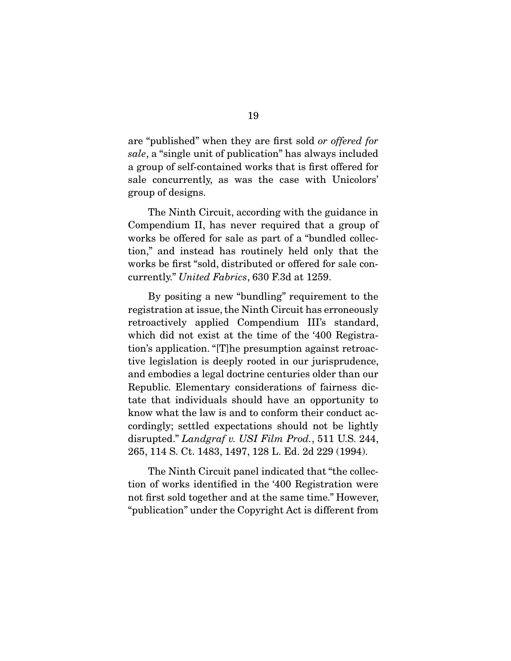are "published" when they are first sold *or offered for sale*, a "single unit of publication" has always included a group of self-contained works that is first offered for sale concurrently, as was the case with Unicolors' group of designs.

 The Ninth Circuit, according with the guidance in Compendium II, has never required that a group of works be offered for sale as part of a "bundled collection," and instead has routinely held only that the works be first "sold, distributed or offered for sale concurrently." *United Fabrics*, 630 F.3d at 1259.

 By positing a new "bundling" requirement to the registration at issue, the Ninth Circuit has erroneously retroactively applied Compendium III's standard, which did not exist at the time of the '400 Registration's application. "[T]he presumption against retroactive legislation is deeply rooted in our jurisprudence, and embodies a legal doctrine centuries older than our Republic. Elementary considerations of fairness dictate that individuals should have an opportunity to know what the law is and to conform their conduct accordingly; settled expectations should not be lightly disrupted." *Landgraf v. USI Film Prod.*, 511 U.S. 244, 265, 114 S. Ct. 1483, 1497, 128 L. Ed. 2d 229 (1994).

 The Ninth Circuit panel indicated that "the collection of works identified in the '400 Registration were not first sold together and at the same time." However, "publication" under the Copyright Act is different from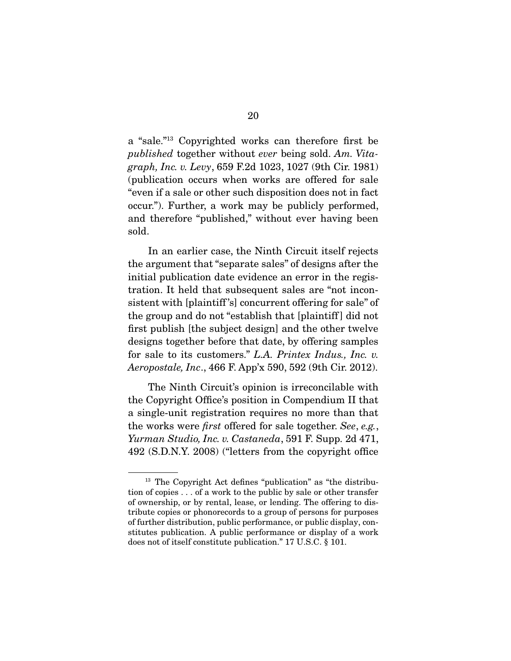a "sale."13 Copyrighted works can therefore first be *published* together without *ever* being sold. *Am. Vitagraph, Inc. v. Levy*, 659 F.2d 1023, 1027 (9th Cir. 1981) (publication occurs when works are offered for sale "even if a sale or other such disposition does not in fact occur."). Further, a work may be publicly performed, and therefore "published," without ever having been sold.

 In an earlier case, the Ninth Circuit itself rejects the argument that "separate sales" of designs after the initial publication date evidence an error in the registration. It held that subsequent sales are "not inconsistent with [plaintiff 's] concurrent offering for sale" of the group and do not "establish that [plaintiff ] did not first publish [the subject design] and the other twelve designs together before that date, by offering samples for sale to its customers." *L.A. Printex Indus., Inc. v. Aeropostale, Inc*., 466 F. App'x 590, 592 (9th Cir. 2012).

 The Ninth Circuit's opinion is irreconcilable with the Copyright Office's position in Compendium II that a single-unit registration requires no more than that the works were *first* offered for sale together. *See*, *e.g.*, *Yurman Studio, Inc. v. Castaneda*, 591 F. Supp. 2d 471, 492 (S.D.N.Y. 2008) ("letters from the copyright office

<sup>&</sup>lt;sup>13</sup> The Copyright Act defines "publication" as "the distribution of copies . . . of a work to the public by sale or other transfer of ownership, or by rental, lease, or lending. The offering to distribute copies or phonorecords to a group of persons for purposes of further distribution, public performance, or public display, constitutes publication. A public performance or display of a work does not of itself constitute publication." 17 U.S.C. § 101.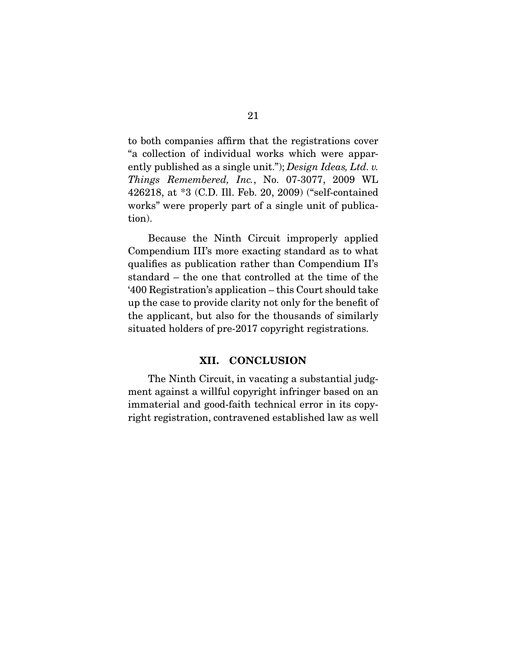to both companies affirm that the registrations cover "a collection of individual works which were apparently published as a single unit."); *Design Ideas, Ltd. v. Things Remembered, Inc.*, No. 07-3077, 2009 WL 426218, at \*3 (C.D. Ill. Feb. 20, 2009) ("self-contained works" were properly part of a single unit of publication).

 Because the Ninth Circuit improperly applied Compendium III's more exacting standard as to what qualifies as publication rather than Compendium II's standard – the one that controlled at the time of the '400 Registration's application – this Court should take up the case to provide clarity not only for the benefit of the applicant, but also for the thousands of similarly situated holders of pre-2017 copyright registrations.

#### **XII. CONCLUSION**

 The Ninth Circuit, in vacating a substantial judgment against a willful copyright infringer based on an immaterial and good-faith technical error in its copyright registration, contravened established law as well